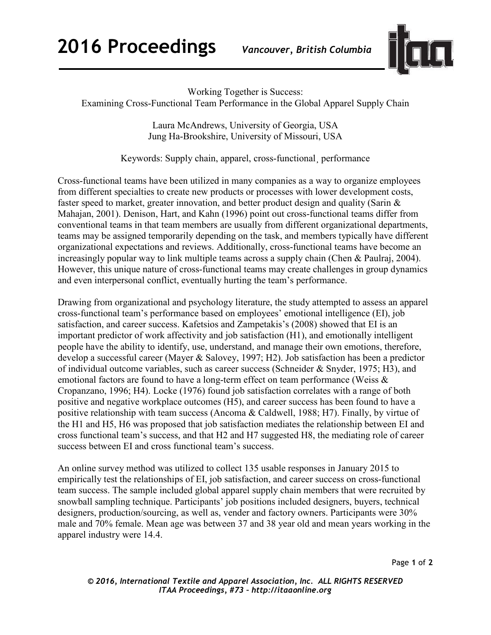**2016 Proceedings** *Vancouver, British Columbia*



Working Together is Success:

Examining Cross-Functional Team Performance in the Global Apparel Supply Chain

Laura McAndrews, University of Georgia, USA Jung Ha-Brookshire, University of Missouri, USA

Keywords: Supply chain, apparel, cross-functional¸ performance

Cross-functional teams have been utilized in many companies as a way to organize employees from different specialties to create new products or processes with lower development costs, faster speed to market, greater innovation, and better product design and quality (Sarin & Mahajan, 2001). Denison, Hart, and Kahn (1996) point out cross-functional teams differ from conventional teams in that team members are usually from different organizational departments, teams may be assigned temporarily depending on the task, and members typically have different organizational expectations and reviews. Additionally, cross-functional teams have become an increasingly popular way to link multiple teams across a supply chain (Chen & Paulraj, 2004). However, this unique nature of cross-functional teams may create challenges in group dynamics and even interpersonal conflict, eventually hurting the team's performance.

Drawing from organizational and psychology literature, the study attempted to assess an apparel cross-functional team's performance based on employees' emotional intelligence (EI), job satisfaction, and career success. Kafetsios and Zampetakis's (2008) showed that EI is an important predictor of work affectivity and job satisfaction (H1), and emotionally intelligent people have the ability to identify, use, understand, and manage their own emotions, therefore, develop a successful career (Mayer & Salovey, 1997; H2). Job satisfaction has been a predictor of individual outcome variables, such as career success (Schneider & Snyder, 1975; H3), and emotional factors are found to have a long-term effect on team performance (Weiss & Cropanzano, 1996; H4). Locke (1976) found job satisfaction correlates with a range of both positive and negative workplace outcomes (H5), and career success has been found to have a positive relationship with team success (Ancoma & Caldwell, 1988; H7). Finally, by virtue of the H1 and H5, H6 was proposed that job satisfaction mediates the relationship between EI and cross functional team's success, and that H2 and H7 suggested H8, the mediating role of career success between EI and cross functional team's success.

An online survey method was utilized to collect 135 usable responses in January 2015 to empirically test the relationships of EI, job satisfaction, and career success on cross-functional team success. The sample included global apparel supply chain members that were recruited by snowball sampling technique. Participants' job positions included designers, buyers, technical designers, production/sourcing, as well as, vender and factory owners. Participants were 30% male and 70% female. Mean age was between 37 and 38 year old and mean years working in the apparel industry were 14.4.

Page **1** of **2**